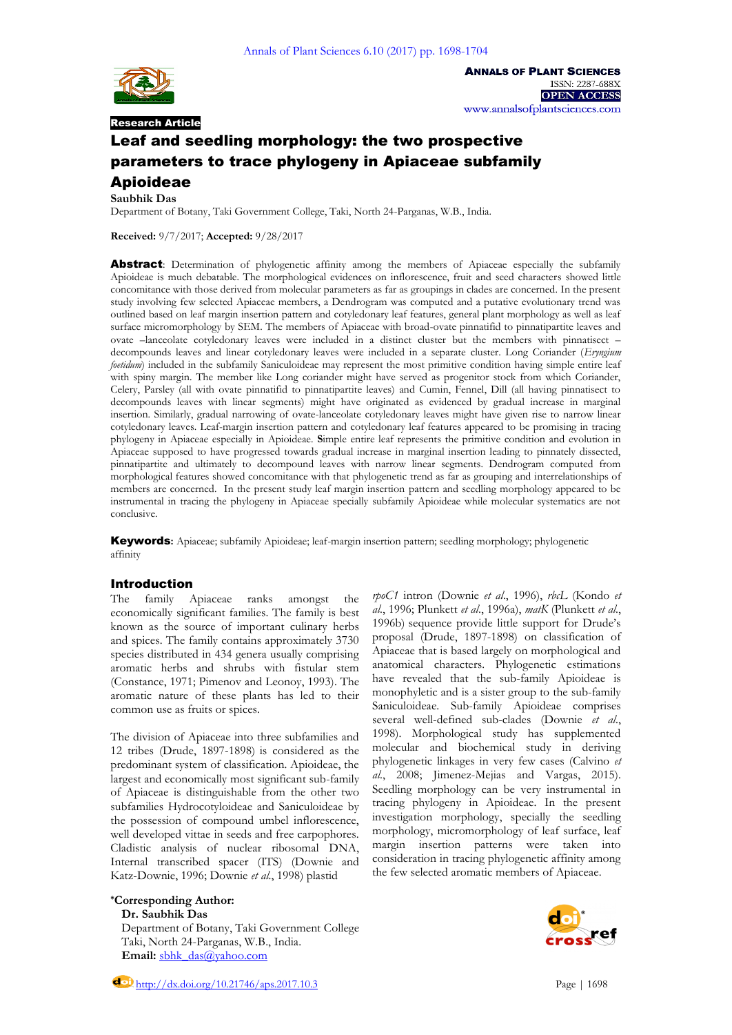

**Saubhik Das**

Research Article

**ANNALS OF PLANT SCIENCES** ISSN: 2287-688X **OPEN ACCESS** www.annalsofplantsciences.com

# Leaf and seedling morphology: the two prospective parameters to trace phylogeny in Apiaceae subfamily Apioideae

Department of Botany, Taki Government College, Taki, North 24-Parganas, W.B., India.

**Received:** 9/7/2017; **Accepted:** 9/28/2017

Abstract: Determination of phylogenetic affinity among the members of Apiaceae especially the subfamily Apioideae is much debatable. The morphological evidences on inflorescence, fruit and seed characters showed little concomitance with those derived from molecular parameters as far as groupings in clades are concerned. In the present study involving few selected Apiaceae members, a Dendrogram was computed and a putative evolutionary trend was outlined based on leaf margin insertion pattern and cotyledonary leaf features, general plant morphology as well as leaf surface micromorphology by SEM. The members of Apiaceae with broad-ovate pinnatifid to pinnatipartite leaves and ovate –lanceolate cotyledonary leaves were included in a distinct cluster but the members with pinnatisect – decompounds leaves and linear cotyledonary leaves were included in a separate cluster. Long Coriander (*Eryngium foetidum*) included in the subfamily Saniculoideae may represent the most primitive condition having simple entire leaf with spiny margin. The member like Long coriander might have served as progenitor stock from which Coriander, Celery, Parsley (all with ovate pinnatifid to pinnatipartite leaves) and Cumin, Fennel, Dill (all having pinnatisect to decompounds leaves with linear segments) might have originated as evidenced by gradual increase in marginal insertion. Similarly, gradual narrowing of ovate-lanceolate cotyledonary leaves might have given rise to narrow linear cotyledonary leaves. Leaf-margin insertion pattern and cotyledonary leaf features appeared to be promising in tracing phylogeny in Apiaceae especially in Apioideae. **S**imple entire leaf represents the primitive condition and evolution in Apiaceae supposed to have progressed towards gradual increase in marginal insertion leading to pinnately dissected, pinnatipartite and ultimately to decompound leaves with narrow linear segments. Dendrogram computed from morphological features showed concomitance with that phylogenetic trend as far as grouping and interrelationships of members are concerned. In the present study leaf margin insertion pattern and seedling morphology appeared to be instrumental in tracing the phylogeny in Apiaceae specially subfamily Apioideae while molecular systematics are not conclusive.

Keywords**:** Apiaceae; subfamily Apioideae; leaf-margin insertion pattern; seedling morphology; phylogenetic affinity

# Introduction

The family Apiaceae ranks amongst the economically significant families. The family is best known as the source of important culinary herbs and spices. The family contains approximately 3730 species distributed in 434 genera usually comprising aromatic herbs and shrubs with fistular stem (Constance, 1971; Pimenov and Leonoy, 1993). The aromatic nature of these plants has led to their common use as fruits or spices.

The division of Apiaceae into three subfamilies and 12 tribes (Drude, 1897-1898) is considered as the predominant system of classification. Apioideae, the largest and economically most significant sub-family of Apiaceae is distinguishable from the other two subfamilies Hydrocotyloideae and Saniculoideae by the possession of compound umbel inflorescence, well developed vittae in seeds and free carpophores. Cladistic analysis of nuclear ribosomal DNA, Internal transcribed spacer (ITS) (Downie and Katz-Downie, 1996; Downie *et al*., 1998) plastid

**\*Corresponding Author: Dr. Saubhik Das**

Department of Botany, Taki Government College Taki, North 24-Parganas, W.B., India. Email: [sbhk\\_das@yahoo.com](mailto:sbhk_das@yahoo.com)

*rpoC1* intron (Downie *et al*., 1996), *rbcL* (Kondo *et al*., 1996; Plunkett *et al*., 1996a), *matK* (Plunkett *et al*., 1996b) sequence provide little support for Drude's proposal (Drude, 1897-1898) on classification of Apiaceae that is based largely on morphological and anatomical characters. Phylogenetic estimations have revealed that the sub-family Apioideae is monophyletic and is a sister group to the sub-family Saniculoideae. Sub-family Apioideae comprises several well-defined sub-clades (Downie *et al*., 1998). Morphological study has supplemented molecular and biochemical study in deriving phylogenetic linkages in very few cases (Calvino *et al*., 2008; Jimenez-Mejias and Vargas, 2015). Seedling morphology can be very instrumental in tracing phylogeny in Apioideae. In the present investigation morphology, specially the seedling morphology, micromorphology of leaf surface, leaf margin insertion patterns were taken into consideration in tracing phylogenetic affinity among the few selected aromatic members of Apiaceae.

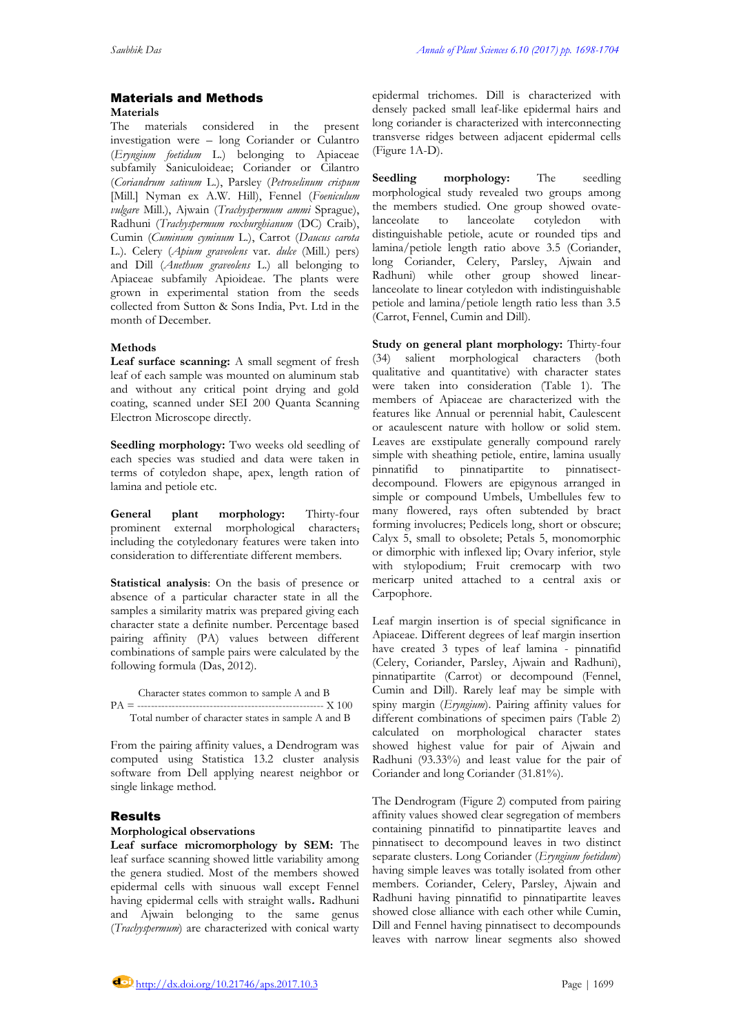## Materials and Methods **Materials**

The materials considered in the present investigation were – long Coriander or Culantro (*Eryngium foetidum* L.) belonging to Apiaceae subfamily Saniculoideae; Coriander or Cilantro (*Coriandrum sativum* L.), Parsley (*Petroselinum crispum* [Mill.] Nyman ex A.W. Hill), Fennel (*Foeniculum vulgare* Mill.), Ajwain (*Trachyspermum ammi* Sprague), Radhuni (*Trachyspermum roxburghianum* (DC) Craib), Cumin (*Cuminum cyminum* L.), Carrot (*Daucus carota* L.). Celery (*Apium graveolens* var. *dulce* (Mill.) pers) and Dill (*Anethum graveolens* L.) all belonging to Apiaceae subfamily Apioideae. The plants were grown in experimental station from the seeds collected from Sutton & Sons India, Pvt. Ltd in the month of December.

# **Methods**

**Leaf surface scanning:** A small segment of fresh leaf of each sample was mounted on aluminum stab and without any critical point drying and gold coating, scanned under SEI 200 Quanta Scanning Electron Microscope directly.

**Seedling morphology:** Two weeks old seedling of each species was studied and data were taken in terms of cotyledon shape, apex, length ration of lamina and petiole etc.

**General plant morphology:** Thirty-four prominent external morphological characters, including the cotyledonary features were taken into consideration to differentiate different members.

**Statistical analysis**: On the basis of presence or absence of a particular character state in all the samples a similarity matrix was prepared giving each character state a definite number. Percentage based pairing affinity (PA) values between different combinations of sample pairs were calculated by the following formula (Das, 2012).

 Character states common to sample A and B PA = ------------------------------------------------------ X 100 Total number of character states in sample A and B

From the pairing affinity values, a Dendrogram was computed using Statistica 13.2 cluster analysis software from Dell applying nearest neighbor or single linkage method.

## Results

## **Morphological observations**

**Leaf surface micromorphology by SEM:** The leaf surface scanning showed little variability among the genera studied. Most of the members showed epidermal cells with sinuous wall except Fennel having epidermal cells with straight walls**.** Radhuni and Ajwain belonging to the same genus (*Trachyspermum*) are characterized with conical warty

epidermal trichomes. Dill is characterized with densely packed small leaf-like epidermal hairs and long coriander is characterized with interconnecting transverse ridges between adjacent epidermal cells (Figure 1A-D).

**Seedling morphology:** The seedling morphological study revealed two groups among the members studied. One group showed ovatelanceolate to lanceolate cotyledon with distinguishable petiole, acute or rounded tips and lamina/petiole length ratio above 3.5 (Coriander, long Coriander, Celery, Parsley, Ajwain and Radhuni) while other group showed linearlanceolate to linear cotyledon with indistinguishable petiole and lamina/petiole length ratio less than 3.5 (Carrot, Fennel, Cumin and Dill).

**Study on general plant morphology:** Thirty-four (34) salient morphological characters (both qualitative and quantitative) with character states were taken into consideration (Table 1). The members of Apiaceae are characterized with the features like Annual or perennial habit, Caulescent or acaulescent nature with hollow or solid stem. Leaves are exstipulate generally compound rarely simple with sheathing petiole, entire, lamina usually pinnatifid to pinnatipartite to pinnatisectdecompound. Flowers are epigynous arranged in simple or compound Umbels, Umbellules few to many flowered, rays often subtended by bract forming involucres; Pedicels long, short or obscure; Calyx 5, small to obsolete; Petals 5, monomorphic or dimorphic with inflexed lip; Ovary inferior, style with stylopodium; Fruit cremocarp with two mericarp united attached to a central axis or Carpophore.

Leaf margin insertion is of special significance in Apiaceae. Different degrees of leaf margin insertion have created 3 types of leaf lamina - pinnatifid (Celery, Coriander, Parsley, Ajwain and Radhuni), pinnatipartite (Carrot) or decompound (Fennel, Cumin and Dill). Rarely leaf may be simple with spiny margin (*Eryngium*). Pairing affinity values for different combinations of specimen pairs (Table 2) calculated on morphological character states showed highest value for pair of Ajwain and Radhuni (93.33%) and least value for the pair of Coriander and long Coriander (31.81%).

The Dendrogram (Figure 2) computed from pairing affinity values showed clear segregation of members containing pinnatifid to pinnatipartite leaves and pinnatisect to decompound leaves in two distinct separate clusters. Long Coriander (*Eryngium foetidum*) having simple leaves was totally isolated from other members. Coriander, Celery, Parsley, Ajwain and Radhuni having pinnatifid to pinnatipartite leaves showed close alliance with each other while Cumin, Dill and Fennel having pinnatisect to decompounds leaves with narrow linear segments also showed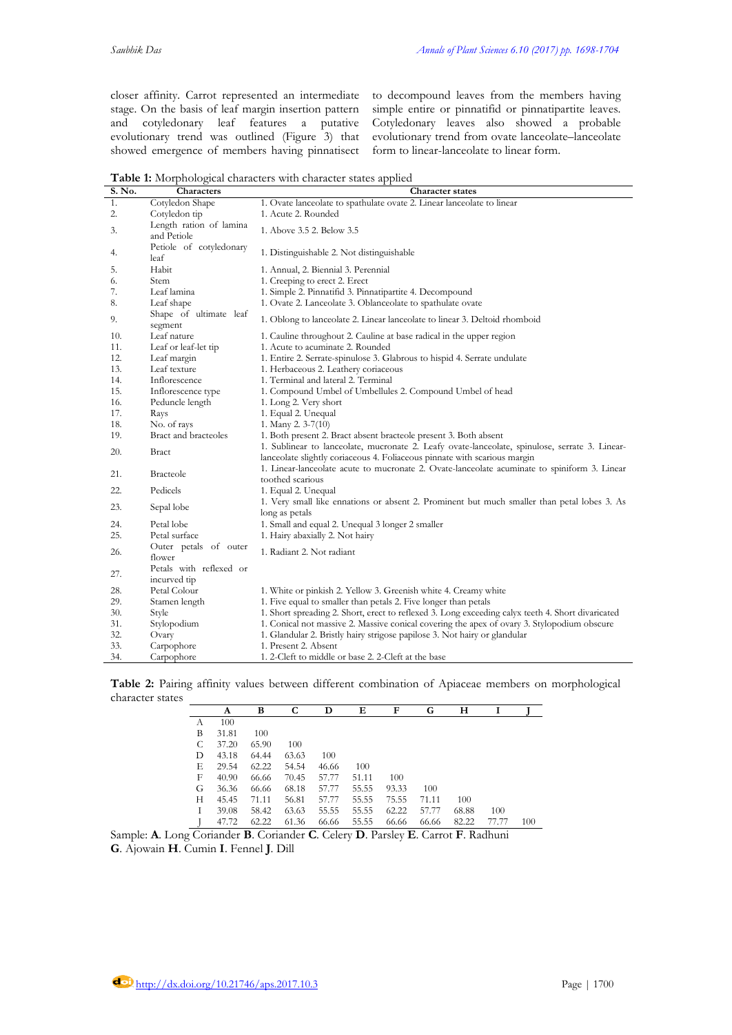closer affinity. Carrot represented an intermediate stage. On the basis of leaf margin insertion pattern and cotyledonary leaf features a putative evolutionary trend was outlined (Figure 3) that showed emergence of members having pinnatisect to decompound leaves from the members having simple entire or pinnatifid or pinnatipartite leaves. Cotyledonary leaves also showed a probable evolutionary trend from ovate lanceolate–lanceolate form to linear-lanceolate to linear form.

**Table 1:** Morphological characters with character states applied

| S. No. | <b>Characters</b>                       | <b>Character states</b>                                                                                                                                                     |
|--------|-----------------------------------------|-----------------------------------------------------------------------------------------------------------------------------------------------------------------------------|
| 1.     | Cotyledon Shape                         | 1. Ovate lanceolate to spathulate ovate 2. Linear lanceolate to linear                                                                                                      |
| 2.     | Cotyledon tip                           | 1. Acute 2. Rounded                                                                                                                                                         |
| 3.     | Length ration of lamina<br>and Petiole  | 1. Above 3.5 2. Below 3.5                                                                                                                                                   |
| 4.     | Petiole of cotyledonary<br>leaf         | 1. Distinguishable 2. Not distinguishable                                                                                                                                   |
| 5.     | Habit                                   | 1. Annual, 2. Biennial 3. Perennial                                                                                                                                         |
| 6.     | Stem                                    | 1. Creeping to erect 2. Erect                                                                                                                                               |
| 7.     | Leaf lamina                             | 1. Simple 2. Pinnatifid 3. Pinnatipartite 4. Decompound                                                                                                                     |
| 8.     | Leaf shape                              | 1. Ovate 2. Lanceolate 3. Oblanceolate to spathulate ovate                                                                                                                  |
| 9.     | Shape of ultimate leaf<br>segment       | 1. Oblong to lanceolate 2. Linear lanceolate to linear 3. Deltoid rhomboid                                                                                                  |
| 10.    | Leaf nature                             | 1. Cauline throughout 2. Cauline at base radical in the upper region                                                                                                        |
| 11.    | Leaf or leaf-let tip                    | 1. Acute to acuminate 2. Rounded                                                                                                                                            |
| 12.    | Leaf margin                             | 1. Entire 2. Serrate-spinulose 3. Glabrous to hispid 4. Serrate undulate                                                                                                    |
| 13.    | Leaf texture                            | 1. Herbaceous 2. Leathery coriaceous                                                                                                                                        |
| 14.    | Inflorescence                           | 1. Terminal and lateral 2. Terminal                                                                                                                                         |
| 15.    | Inflorescence type                      | 1. Compound Umbel of Umbellules 2. Compound Umbel of head                                                                                                                   |
| 16.    | Peduncle length                         | 1. Long 2. Very short                                                                                                                                                       |
| 17.    | Rays                                    | 1. Equal 2. Unequal                                                                                                                                                         |
| 18.    | No. of rays                             | 1. Many 2. $3-7(10)$                                                                                                                                                        |
| 19.    | Bract and bracteoles                    | 1. Both present 2. Bract absent bracteole present 3. Both absent                                                                                                            |
| 20.    | Bract                                   | 1. Sublinear to lanceolate, mucronate 2. Leafy ovate-lanceolate, spinulose, serrate 3. Linear-<br>lanceolate slightly coriaceous 4. Foliaceous pinnate with scarious margin |
| 21.    | <b>Bracteole</b>                        | 1. Linear-lanceolate acute to mucronate 2. Ovate-lanceolate acuminate to spiniform 3. Linear<br>toothed scarious                                                            |
| 22.    | Pedicels                                | 1. Equal 2. Unequal                                                                                                                                                         |
| 23.    | Sepal lobe                              | 1. Very small like ennations or absent 2. Prominent but much smaller than petal lobes 3. As<br>long as petals                                                               |
| 24.    | Petal lobe                              | 1. Small and equal 2. Unequal 3 longer 2 smaller                                                                                                                            |
| 25.    | Petal surface                           | 1. Hairy abaxially 2. Not hairy                                                                                                                                             |
| 26.    | Outer petals of outer<br>flower         | 1. Radiant 2. Not radiant                                                                                                                                                   |
| 27.    | Petals with reflexed or<br>incurved tip |                                                                                                                                                                             |
| 28.    | Petal Colour                            | 1. White or pinkish 2. Yellow 3. Greenish white 4. Creamy white                                                                                                             |
| 29.    | Stamen length                           | 1. Five equal to smaller than petals 2. Five longer than petals                                                                                                             |
| 30.    | Style                                   | 1. Short spreading 2. Short, erect to reflexed 3. Long exceeding calyx teeth 4. Short divaricated                                                                           |
| 31.    | Stylopodium                             | 1. Conical not massive 2. Massive conical covering the apex of ovary 3. Stylopodium obscure                                                                                 |
| 32.    | Ovary                                   | 1. Glandular 2. Bristly hairy strigose papilose 3. Not hairy or glandular                                                                                                   |
| 33.    | Carpophore                              | 1. Present 2. Absent                                                                                                                                                        |
| 34.    | Carpophore                              | 1. 2-Cleft to middle or base 2. 2-Cleft at the base                                                                                                                         |

|                  |  |  |  |  |  | Table 2: Pairing affinity values between different combination of Apiaceae members on morphological |
|------------------|--|--|--|--|--|-----------------------------------------------------------------------------------------------------|
| character states |  |  |  |  |  |                                                                                                     |

|   | A     | В     | С     | D     | Е     | F     | G     | н     |       |     |
|---|-------|-------|-------|-------|-------|-------|-------|-------|-------|-----|
| A | 100   |       |       |       |       |       |       |       |       |     |
| B | 31.81 | 100   |       |       |       |       |       |       |       |     |
| C | 37.20 | 65.90 | 100   |       |       |       |       |       |       |     |
| D | 43.18 | 64.44 | 63.63 | 100   |       |       |       |       |       |     |
| Е | 29.54 | 62.22 | 54.54 | 46.66 | 100   |       |       |       |       |     |
| F | 40.90 | 66.66 | 70.45 | 57.77 | 51.11 | 100   |       |       |       |     |
| G | 36.36 | 66.66 | 68.18 | 57.77 | 55.55 | 93.33 | 100   |       |       |     |
| Н | 45.45 | 71.11 | 56.81 | 57.77 | 55.55 | 75.55 | 71.11 | 100   |       |     |
| Ι | 39.08 | 58.42 | 63.63 | 55.55 | 55.55 | 62.22 | 57.77 | 68.88 | 100   |     |
|   | 47.72 | 62.22 | 61.36 | 66.66 | 55.55 | 66.66 | 66.66 | 82.22 | 77.77 | 100 |

Sample: **A**. Long Coriander **B**. Coriander **C**. Celery **D**. Parsley **E**. Carrot **F**. Radhuni **G**. Ajowain **H**. Cumin **I**. Fennel **J**. Dill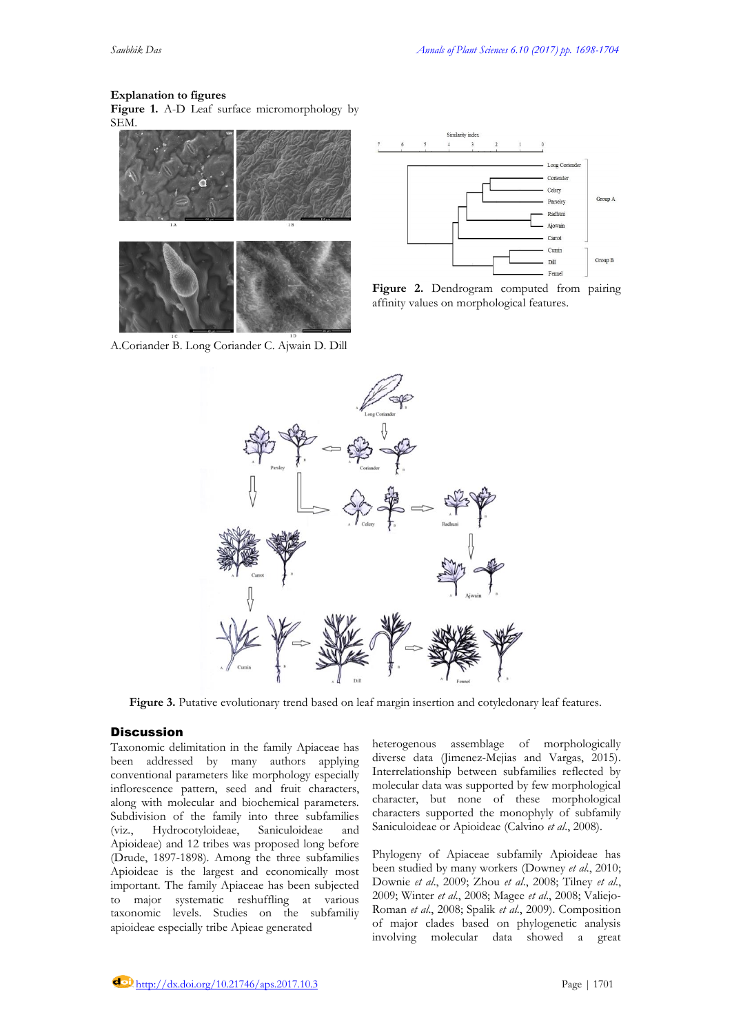#### **Explanation to figures**

**Figure 1.** A-D Leaf surface micromorphology by SEM.



A.Coriander B. Long Coriander C. Ajwain D. Dill



Figure 2. Dendrogram computed from pairing affinity values on morphological features.



**Figure 3.** Putative evolutionary trend based on leaf margin insertion and cotyledonary leaf features.

# **Discussion**

Taxonomic delimitation in the family Apiaceae has been addressed by many authors applying conventional parameters like morphology especially inflorescence pattern, seed and fruit characters, along with molecular and biochemical parameters. Subdivision of the family into three subfamilies (viz., Hydrocotyloideae, Saniculoideae and Apioideae) and 12 tribes was proposed long before (Drude, 1897-1898). Among the three subfamilies Apioideae is the largest and economically most important. The family Apiaceae has been subjected to major systematic reshuffling at various taxonomic levels. Studies on the subfamiliy apioideae especially tribe Apieae generated

heterogenous assemblage of morphologically diverse data (Jimenez-Mejias and Vargas, 2015). Interrelationship between subfamilies reflected by molecular data was supported by few morphological character, but none of these morphological characters supported the monophyly of subfamily Saniculoideae or Apioideae (Calvino *et al*., 2008).

Phylogeny of Apiaceae subfamily Apioideae has been studied by many workers (Downey *et al*., 2010; Downie *et al*., 2009; Zhou *et al*., 2008; Tilney *et al*., 2009; Winter *et al*., 2008; Magee *et al*., 2008; Valiejo-Roman *et al*., 2008; Spalik *et al*., 2009). Composition of major clades based on phylogenetic analysis involving molecular data showed a great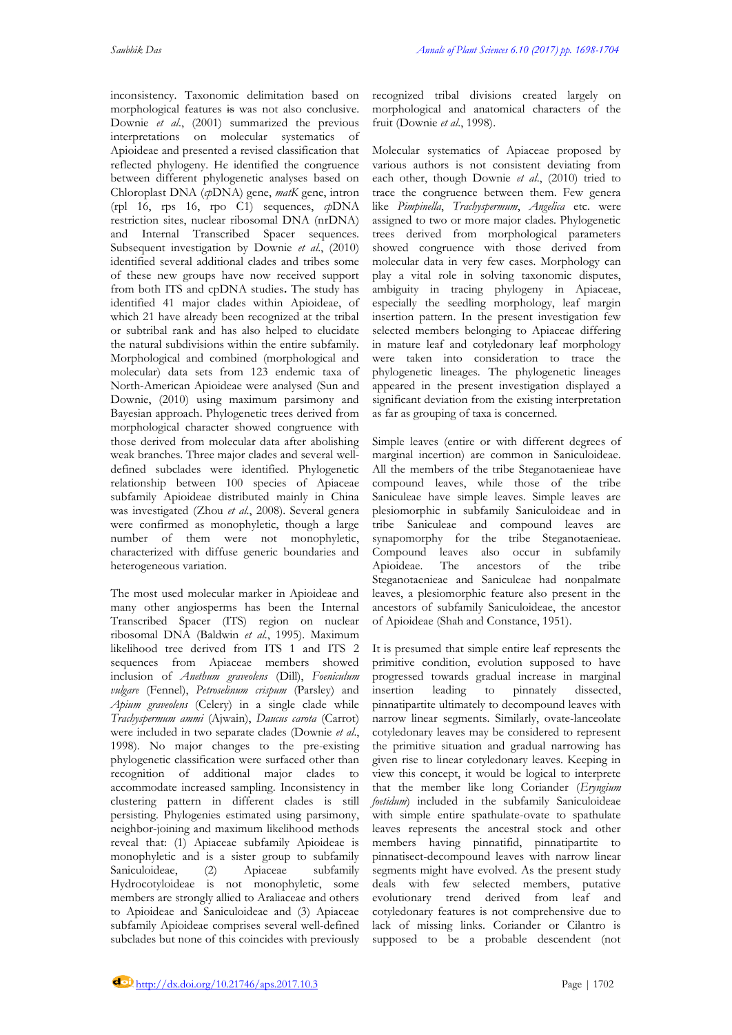inconsistency. Taxonomic delimitation based on morphological features is was not also conclusive. Downie *et al*., (2001) summarized the previous interpretations on molecular systematics of Apioideae and presented a revised classification that reflected phylogeny. He identified the congruence between different phylogenetic analyses based on Chloroplast DNA (*cp*DNA) gene, *matK* gene, intron (rpl 16, rps 16, rpo C1) sequences, *cp*DNA restriction sites, nuclear ribosomal DNA (nrDNA) and Internal Transcribed Spacer sequences. Subsequent investigation by Downie *et al*., (2010) identified several additional clades and tribes some of these new groups have now received support from both ITS and cpDNA studies**.** The study has identified 41 major clades within Apioideae, of which 21 have already been recognized at the tribal or subtribal rank and has also helped to elucidate the natural subdivisions within the entire subfamily. Morphological and combined (morphological and molecular) data sets from 123 endemic taxa of North-American Apioideae were analysed (Sun and Downie, (2010) using maximum parsimony and Bayesian approach. Phylogenetic trees derived from morphological character showed congruence with those derived from molecular data after abolishing weak branches. Three major clades and several welldefined subclades were identified. Phylogenetic relationship between 100 species of Apiaceae subfamily Apioideae distributed mainly in China was investigated (Zhou *et al*., 2008). Several genera were confirmed as monophyletic, though a large number of them were not monophyletic, characterized with diffuse generic boundaries and heterogeneous variation.

The most used molecular marker in Apioideae and many other angiosperms has been the Internal Transcribed Spacer (ITS) region on nuclear ribosomal DNA (Baldwin *et al*., 1995). Maximum likelihood tree derived from ITS 1 and ITS 2 sequences from Apiaceae members showed inclusion of *Anethum graveolens* (Dill), *Foeniculum vulgare* (Fennel), *Petroselinum crispum* (Parsley) and *Apium graveolens* (Celery) in a single clade while *Trachyspermum ammi* (Ajwain), *Daucus carota* (Carrot) were included in two separate clades (Downie *et al*., 1998). No major changes to the pre-existing phylogenetic classification were surfaced other than recognition of additional major clades to accommodate increased sampling. Inconsistency in clustering pattern in different clades is still persisting. Phylogenies estimated using parsimony, neighbor-joining and maximum likelihood methods reveal that: (1) Apiaceae subfamily Apioideae is monophyletic and is a sister group to subfamily Saniculoideae, (2) Apiaceae subfamily Hydrocotyloideae is not monophyletic, some members are strongly allied to Araliaceae and others to Apioideae and Saniculoideae and (3) Apiaceae subfamily Apioideae comprises several well-defined subclades but none of this coincides with previously

recognized tribal divisions created largely on morphological and anatomical characters of the fruit (Downie *et al*., 1998).

Molecular systematics of Apiaceae proposed by various authors is not consistent deviating from each other, though Downie *et al*., (2010) tried to trace the congruence between them. Few genera like *Pimpinella*, *Trachyspermum*, *Angelica* etc. were assigned to two or more major clades. Phylogenetic trees derived from morphological parameters showed congruence with those derived from molecular data in very few cases. Morphology can play a vital role in solving taxonomic disputes, ambiguity in tracing phylogeny in Apiaceae, especially the seedling morphology, leaf margin insertion pattern. In the present investigation few selected members belonging to Apiaceae differing in mature leaf and cotyledonary leaf morphology were taken into consideration to trace the phylogenetic lineages. The phylogenetic lineages appeared in the present investigation displayed a significant deviation from the existing interpretation as far as grouping of taxa is concerned.

Simple leaves (entire or with different degrees of marginal incertion) are common in Saniculoideae. All the members of the tribe Steganotaenieae have compound leaves, while those of the tribe Saniculeae have simple leaves. Simple leaves are plesiomorphic in subfamily Saniculoideae and in tribe Saniculeae and compound leaves are synapomorphy for the tribe Steganotaenieae. Compound leaves also occur in subfamily<br>Apioideae. The ancestors of the tribe Apioideae. The ancestors of the tribe Steganotaenieae and Saniculeae had nonpalmate leaves, a plesiomorphic feature also present in the ancestors of subfamily Saniculoideae, the ancestor of Apioideae (Shah and Constance, 1951).

It is presumed that simple entire leaf represents the primitive condition, evolution supposed to have progressed towards gradual increase in marginal insertion leading to pinnately dissected, pinnatipartite ultimately to decompound leaves with narrow linear segments. Similarly, ovate-lanceolate cotyledonary leaves may be considered to represent the primitive situation and gradual narrowing has given rise to linear cotyledonary leaves. Keeping in view this concept, it would be logical to interprete that the member like long Coriander (*Eryngium foetidum*) included in the subfamily Saniculoideae with simple entire spathulate-ovate to spathulate leaves represents the ancestral stock and other members having pinnatifid, pinnatipartite to pinnatisect-decompound leaves with narrow linear segments might have evolved. As the present study deals with few selected members, putative evolutionary trend derived from leaf and cotyledonary features is not comprehensive due to lack of missing links. Coriander or Cilantro is supposed to be a probable descendent (not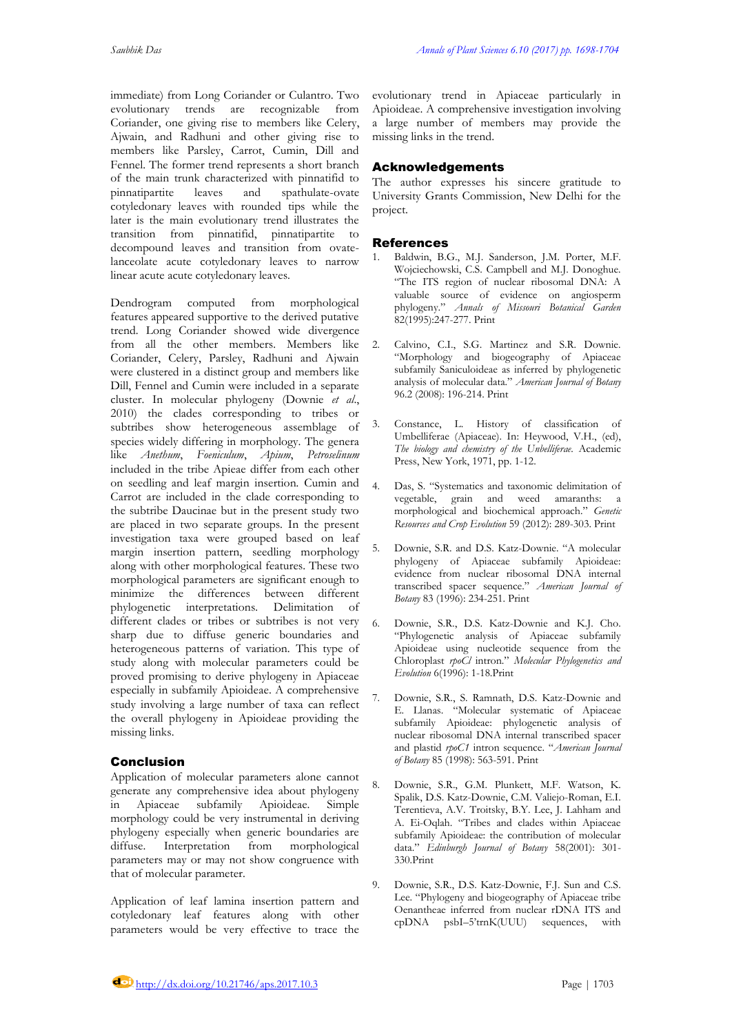immediate) from Long Coriander or Culantro. Two evolutionary trends are recognizable from Coriander, one giving rise to members like Celery, Ajwain, and Radhuni and other giving rise to members like Parsley, Carrot, Cumin, Dill and Fennel. The former trend represents a short branch of the main trunk characterized with pinnatifid to pinnatipartite leaves and spathulate-ovate cotyledonary leaves with rounded tips while the later is the main evolutionary trend illustrates the transition from pinnatifid, pinnatipartite to decompound leaves and transition from ovatelanceolate acute cotyledonary leaves to narrow linear acute acute cotyledonary leaves.

Dendrogram computed from morphological features appeared supportive to the derived putative trend. Long Coriander showed wide divergence from all the other members. Members like Coriander, Celery, Parsley, Radhuni and Ajwain were clustered in a distinct group and members like Dill, Fennel and Cumin were included in a separate cluster. In molecular phylogeny (Downie *et al*., 2010) the clades corresponding to tribes or subtribes show heterogeneous assemblage of species widely differing in morphology. The genera like *Anethum*, *Foeniculum*, *Apium*, *Petroselinum*  included in the tribe Apieae differ from each other on seedling and leaf margin insertion*.* Cumin and Carrot are included in the clade corresponding to the subtribe Daucinae but in the present study two are placed in two separate groups. In the present investigation taxa were grouped based on leaf margin insertion pattern, seedling morphology along with other morphological features. These two morphological parameters are significant enough to minimize the differences between different phylogenetic interpretations. Delimitation of different clades or tribes or subtribes is not very sharp due to diffuse generic boundaries and heterogeneous patterns of variation. This type of study along with molecular parameters could be proved promising to derive phylogeny in Apiaceae especially in subfamily Apioideae. A comprehensive study involving a large number of taxa can reflect the overall phylogeny in Apioideae providing the missing links.

# Conclusion

Application of molecular parameters alone cannot generate any comprehensive idea about phylogeny in Apiaceae subfamily Apioideae. Simple morphology could be very instrumental in deriving phylogeny especially when generic boundaries are diffuse. Interpretation from morphological parameters may or may not show congruence with that of molecular parameter.

Application of leaf lamina insertion pattern and cotyledonary leaf features along with other parameters would be very effective to trace the

evolutionary trend in Apiaceae particularly in Apioideae. A comprehensive investigation involving a large number of members may provide the missing links in the trend.

# Acknowledgements

The author expresses his sincere gratitude to University Grants Commission, New Delhi for the project.

# References

- 1. Baldwin, B.G., M.J. Sanderson, J.M. Porter, M.F. Wojciechowski, C.S. Campbell and M.J. Donoghue. "The ITS region of nuclear ribosomal DNA: A valuable source of evidence on angiosperm phylogeny." *Annals of Missouri Botanical Garden* 82(1995):247-277. Print
- 2. Calvino, C.I., S.G. Martinez and S.R. Downie. "Morphology and biogeography of Apiaceae subfamily Saniculoideae as inferred by phylogenetic analysis of molecular data." *American Journal of Botany* 96.2 (2008): 196-214. Print
- 3. Constance, L. History of classification of Umbelliferae (Apiaceae). In: Heywood, V.H., (ed), *The biology and chemistry of the Unbelliferae.* Academic Press, New York, 1971, pp. 1-12.
- 4. Das, S. "Systematics and taxonomic delimitation of vegetable, grain and weed amaranths: a morphological and biochemical approach." *Genetic Resources and Crop Evolution* 59 (2012): 289-303. Print
- 5. Downie, S.R. and D.S. Katz-Downie. "A molecular phylogeny of Apiaceae subfamily Apioideae: evidence from nuclear ribosomal DNA internal transcribed spacer sequence." *American Journal of Botany* 83 (1996): 234-251. Print
- 6. Downie, S.R., D.S. Katz-Downie and K.J. Cho. "Phylogenetic analysis of Apiaceae subfamily Apioideae using nucleotide sequence from the Chloroplast *rpoCl* intron." *Molecular Phylogenetics and Evolution* 6(1996): 1-18.Print
- 7. Downie, S.R., S. Ramnath, D.S. Katz-Downie and E. Llanas. "Molecular systematic of Apiaceae subfamily Apioideae: phylogenetic analysis of nuclear ribosomal DNA internal transcribed spacer and plastid *rpoC1* intron sequence. "*American Journal of Botany* 85 (1998): 563-591. Print
- 8. Downie, S.R., G.M. Plunkett, M.F. Watson, K. Spalik, D.S. Katz-Downie, C.M. Valiejo-Roman, E.I. Terentieva, A.V. Troitsky, B.Y. Lee, J. Lahham and A. Ei-Oqlah. "Tribes and clades within Apiaceae subfamily Apioideae: the contribution of molecular data." *Edinburgh Journal of Botany* 58(2001): 301- 330.Print
- 9. Downie, S.R., D.S. Katz-Downie, F.J. Sun and C.S. Lee. "Phylogeny and biogeography of Apiaceae tribe Oenantheae inferred from nuclear rDNA ITS and cpDNA psbI–5'trnK(UUU) sequences, with